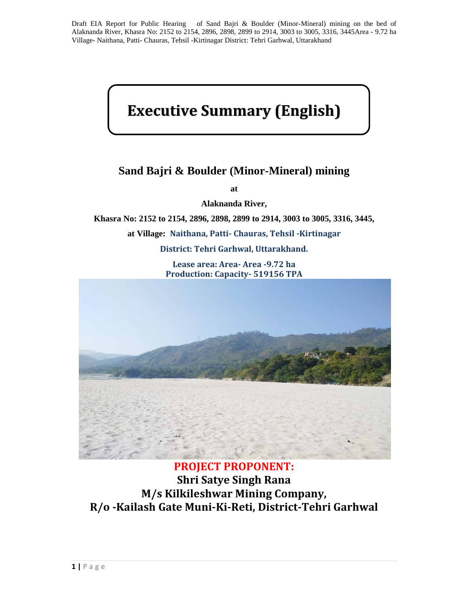# **Executive Summary (English)**

## **Sand Bajri & Boulder (Minor-Mineral) mining**

**at**

**Alaknanda River,**

**Khasra No: 2152 to 2154, 2896, 2898, 2899 to 2914, 3003 to 3005, 3316, 3445,**

**at Village: Naithana, Patti- Chauras, Tehsil -Kirtinagar**

**District: Tehri Garhwal, Uttarakhand.**

**Lease area: Area- Area -9.72 ha Production: Capacity- 519156 TPA**



### **PROJECT PROPONENT:**

**Shri Satye Singh Rana M/s Kilkileshwar Mining Company, R/o -Kailash Gate Muni-Ki-Reti, District-Tehri Garhwal**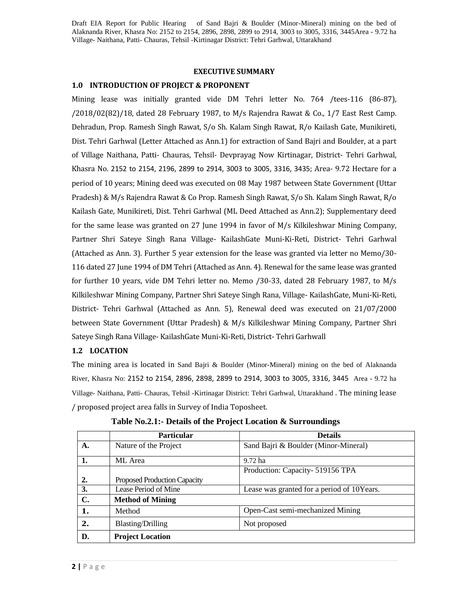#### **EXECUTIVE SUMMARY**

#### **1.0 INTRODUCTION OF PROJECT & PROPONENT**

Mining lease was initially granted vide DM Tehri letter No. 764 /tees-116 (86-87), /2018/02(82)/18, dated 28 February 1987, to M/s Rajendra Rawat & Co., 1/7 East Rest Camp. Dehradun, Prop. Ramesh Singh Rawat, S/o Sh. Kalam Singh Rawat, R/o Kailash Gate, Munikireti, Dist. Tehri Garhwal (Letter Attached as Ann.1) for extraction of Sand Bajri and Boulder, at a part of Village Naithana, Patti- Chauras, Tehsil- Devprayag Now Kirtinagar, District- Tehri Garhwal, Khasra No. 2152 to 2154, 2196, 2899 to 2914, 3003 to 3005, 3316, 3435; Area- 9.72 Hectare for a period of 10 years; Mining deed was executed on 08 May 1987 between State Government (Uttar Pradesh) & M/s Rajendra Rawat & Co Prop. Ramesh Singh Rawat, S/o Sh. Kalam Singh Rawat, R/o Kailash Gate, Munikireti, Dist. Tehri Garhwal (ML Deed Attached as Ann.2); Supplementary deed for the same lease was granted on 27 June 1994 in favor of M/s Kilkileshwar Mining Company, Partner Shri Sateye Singh Rana Village- KailashGate Muni-Ki-Reti, District- Tehri Garhwal (Attached as Ann. 3). Further 5 year extension for the lease was granted via letter no Memo/30- 116 dated 27 June 1994 of DM Tehri (Attached as Ann. 4). Renewal for the same lease was granted for further 10 years, vide DM Tehri letter no. Memo /30-33, dated 28 February 1987, to M/s Kilkileshwar Mining Company, Partner Shri Sateye Singh Rana, Village- KailashGate, Muni-Ki-Reti, District- Tehri Garhwal (Attached as Ann. 5), Renewal deed was executed on 21/07/2000 between State Government (Uttar Pradesh) & M/s Kilkileshwar Mining Company, Partner Shri Sateye Singh Rana Village- KailashGate Muni-Ki-Reti, District- Tehri Garhwall

#### **1.2 LOCATION**

The mining area is located in Sand Bajri & Boulder (Minor-Mineral) mining on the bed of Alaknanda River, Khasra No: 2152 to 2154, 2896, 2898, 2899 to 2914, 3003 to 3005, 3316, 3445 Area - 9.72 ha Village- Naithana, Patti- Chauras, Tehsil -Kirtinagar District: Tehri Garhwal, Uttarakhand . The mining lease / proposed project area falls in Survey of India Toposheet.

| $\mathbf{A}$ .<br>1. | Nature of the Project<br>ML Area    | Sand Bajri & Boulder (Minor-Mineral)<br>9.72 ha |
|----------------------|-------------------------------------|-------------------------------------------------|
|                      |                                     |                                                 |
|                      |                                     |                                                 |
|                      |                                     | Production: Capacity- 519156 TPA                |
| 2.                   | <b>Proposed Production Capacity</b> |                                                 |
| 3.                   | Lease Period of Mine                | Lease was granted for a period of 10Years.      |
| C.                   | <b>Method of Mining</b>             |                                                 |
| 1.                   | Method                              | Open-Cast semi-mechanized Mining                |
| 2.                   | <b>Blasting/Drilling</b>            | Not proposed                                    |
| D.                   | <b>Project Location</b>             |                                                 |

**Table No.2.1:- Details of the Project Location & Surroundings**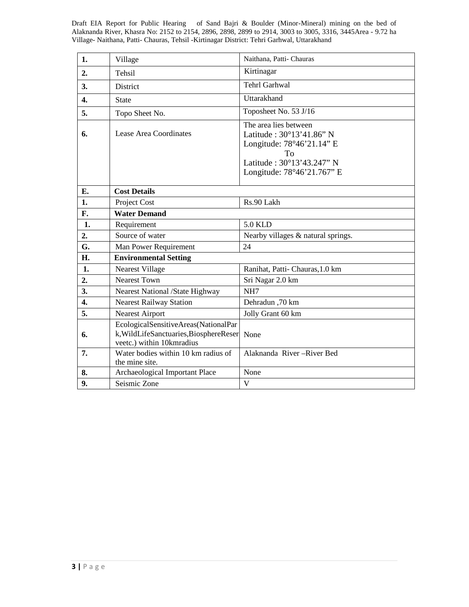| 1.               | Village                                                                                                     | Naithana, Patti-Chauras                                                                                                                         |
|------------------|-------------------------------------------------------------------------------------------------------------|-------------------------------------------------------------------------------------------------------------------------------------------------|
| 2.               | <b>Tehsil</b>                                                                                               | Kirtinagar                                                                                                                                      |
| 3.               | District                                                                                                    | <b>Tehrl Garhwal</b>                                                                                                                            |
| $\overline{4}$ . | <b>State</b>                                                                                                | Uttarakhand                                                                                                                                     |
| 5.               | Topo Sheet No.                                                                                              | Toposheet No. 53 J/16                                                                                                                           |
| 6.               | Lease Area Coordinates                                                                                      | The area lies between<br>Latitude: 30°13'41.86" N<br>Longitude: 78°46'21.14" E<br>To<br>Latitude: 30°13'43.247" N<br>Longitude: 78°46'21.767" E |
| Е.               | <b>Cost Details</b>                                                                                         |                                                                                                                                                 |
| 1.               | Project Cost                                                                                                | Rs.90 Lakh                                                                                                                                      |
| F.               | <b>Water Demand</b>                                                                                         |                                                                                                                                                 |
| 1.               | Requirement                                                                                                 | <b>5.0 KLD</b>                                                                                                                                  |
| 2.               | Source of water                                                                                             | Nearby villages & natural springs.                                                                                                              |
| G.               | Man Power Requirement                                                                                       | 24                                                                                                                                              |
| H.               | <b>Environmental Setting</b>                                                                                |                                                                                                                                                 |
| 1.               | Nearest Village                                                                                             | Ranihat, Patti-Chauras, 1.0 km                                                                                                                  |
| 2.               | <b>Nearest Town</b>                                                                                         | Sri Nagar 2.0 km                                                                                                                                |
| 3.               | <b>Nearest National /State Highway</b>                                                                      | NH7                                                                                                                                             |
| $\overline{4}$ . | <b>Nearest Railway Station</b>                                                                              | Dehradun, 70 km                                                                                                                                 |
| 5.               | <b>Nearest Airport</b>                                                                                      | Jolly Grant 60 km                                                                                                                               |
| 6.               | EcologicalSensitiveAreas(NationalPar<br>k, WildLifeSanctuaries, BiosphereReser<br>veetc.) within 10kmradius | None                                                                                                                                            |
| 7.               | Water bodies within 10 km radius of<br>the mine site.                                                       | Alaknanda River-River Bed                                                                                                                       |
| 8.               | Archaeological Important Place                                                                              | None                                                                                                                                            |
| 9.               | Seismic Zone                                                                                                | V                                                                                                                                               |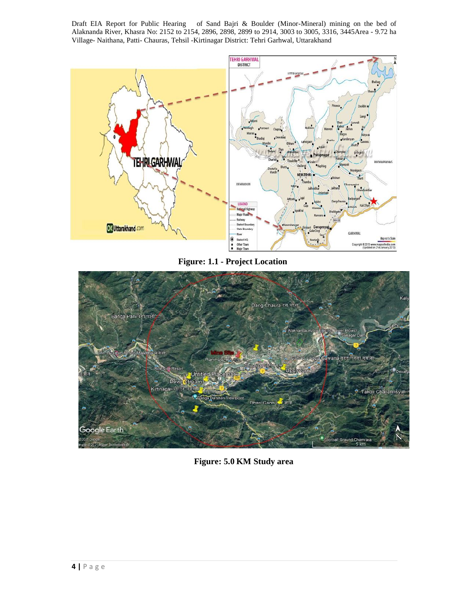

**Figure: 1.1 - Project Location**



**Figure: 5.0 KM Study area**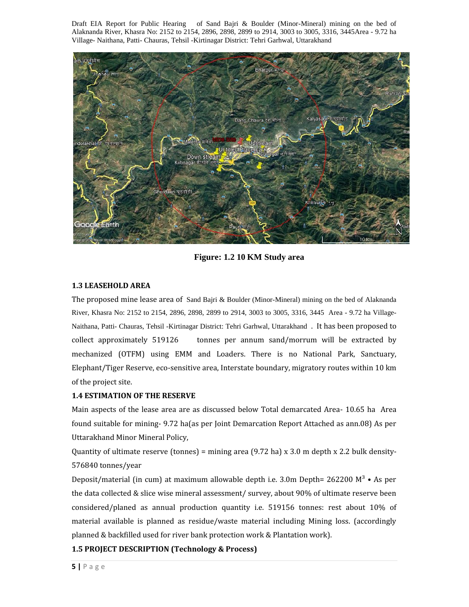

**Figure: 1.2 10 KM Study area**

#### **1.3 LEASEHOLD AREA**

The proposed mine lease area of Sand Bajri & Boulder (Minor-Mineral) mining on the bed of Alaknanda River, Khasra No: 2152 to 2154, 2896, 2898, 2899 to 2914, 3003 to 3005, 3316, 3445 Area - 9.72 ha Village- Naithana, Patti- Chauras, Tehsil -Kirtinagar District: Tehri Garhwal, Uttarakhand . It has been proposed to collect approximately 519126 tonnes per annum sand/morrum will be extracted by mechanized (OTFM) using EMM and Loaders. There is no National Park, Sanctuary, Elephant/Tiger Reserve, eco-sensitive area, Interstate boundary, migratory routes within 10 km of the project site.

#### **1.4 ESTIMATION OF THE RESERVE**

Main aspects of the lease area are as discussed below Total demarcated Area- 10.65 ha Area found suitable for mining- 9.72 ha(as per Joint Demarcation Report Attached as ann.08) As per Uttarakhand Minor Mineral Policy,

Quantity of ultimate reserve (tonnes) = mining area  $(9.72 \text{ ha}) \times 3.0 \text{ m}$  depth x 2.2 bulk density-576840 tonnes/year

material available is planned<br>planned & backfilled used for<br>**1.5 PROJECT DESCRIPTION**<br>**5** | P a g e Deposit/material (in cum) at maximum allowable depth i.e. 3.0m Depth=  $262200 \text{ M}^3 \cdot \text{As per}$ the data collected & slice wise mineral assessment/ survey, about 90% of ultimate reserve been considered/planed as annual production quantity i.e. 519156 tonnes: rest about 10% of material available is planned as residue/waste material including Mining loss. (accordingly planned & backfilled used for river bank protection work & Plantation work).

#### **1.5 PROJECT DESCRIPTION (Technology & Process)**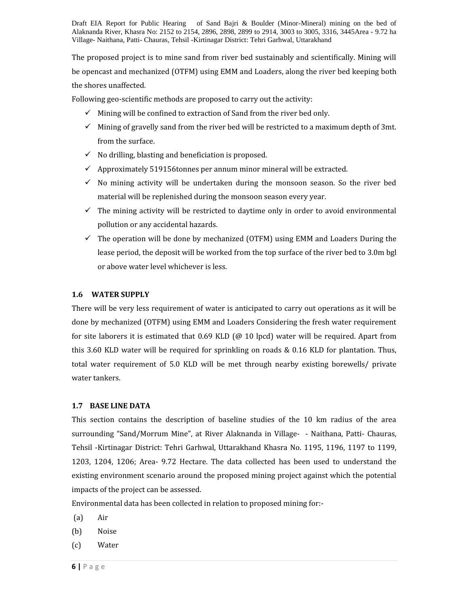The proposed project is to mine sand from river bed sustainably and scientifically. Mining will be opencast and mechanized (OTFM) using EMM and Loaders, along the river bed keeping both the shores unaffected.

Following geo-scientific methods are proposed to carry out the activity:

- $\checkmark$  Mining will be confined to extraction of Sand from the river bed only.
- $\checkmark$  Mining of gravelly sand from the river bed will be restricted to a maximum depth of 3mt. from the surface.
- $\checkmark$  No drilling, blasting and beneficiation is proposed.
- $\checkmark$  Approximately 519156tonnes per annum minor mineral will be extracted.
- $\checkmark$  No mining activity will be undertaken during the monsoon season. So the river bed material will be replenished during the monsoon season every year.
- $\checkmark$  The mining activity will be restricted to daytime only in order to avoid environmental pollution or any accidental hazards.
- $\checkmark$  The operation will be done by mechanized (OTFM) using EMM and Loaders During the lease period, the deposit will be worked from the top surface of the river bed to 3.0m bgl or above water level whichever is less.

#### **1.6 WATER SUPPLY**

There will be very less requirement of water is anticipated to carry out operations as it will be done by mechanized (OTFM) using EMM and Loaders Considering the fresh water requirement for site laborers it is estimated that  $0.69$  KLD ( $@10$  lpcd) water will be required. Apart from this 3.60 KLD water will be required for sprinkling on roads & 0.16 KLD for plantation. Thus, total water requirement of 5.0 KLD will be met through nearby existing borewells/ private water tankers.

#### **1.7 BASE LINE DATA**

This section contains the description of baseline studies of the 10 km radius of the area surrounding "Sand/Morrum Mine", at River Alaknanda in Village- - Naithana, Patti- Chauras, Tehsil -Kirtinagar District: Tehri Garhwal, Uttarakhand Khasra No. 1195, 1196, 1197 to 1199, 1203, 1204, 1206; Area- 9.72 Hectare. The data collected has been used to understand the existing environment scenario around the proposed mining project against which the potential impacts of the project can be assessed.

Environmental data has been collected in relation to proposed mining for:-

- (a) Air
- (b) Noise
- **(a)** Air<br>**(b)** Noise<br>**(c)** Water<br>**6 |** P a g e (c) Water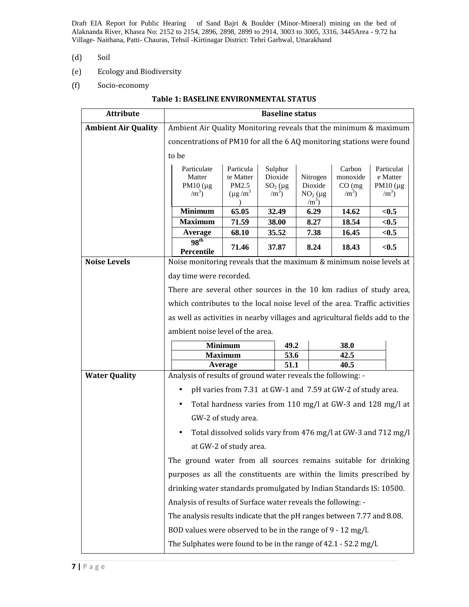- (d) Soil
- (e) Ecology and Biodiversity
- (f) Socio-economy

#### **Table 1: BASELINE ENVIRONMENTAL STATUS**

| <b>Attribute</b>           | <b>Baseline status</b>                                                          |                        |                       |                      |                     |                                                                |  |  |  |
|----------------------------|---------------------------------------------------------------------------------|------------------------|-----------------------|----------------------|---------------------|----------------------------------------------------------------|--|--|--|
| <b>Ambient Air Quality</b> | Ambient Air Quality Monitoring reveals that the minimum & maximum               |                        |                       |                      |                     |                                                                |  |  |  |
|                            | concentrations of PM10 for all the 6 AQ monitoring stations were found          |                        |                       |                      |                     |                                                                |  |  |  |
|                            | to be                                                                           |                        |                       |                      |                     |                                                                |  |  |  |
|                            | Particulate                                                                     | Particula              | Sulphur               |                      | Carbon              | Particulat                                                     |  |  |  |
|                            | Matter<br>PM10 $(\mu g)$                                                        | te Matter<br>PM2.5     | Dioxide<br>$SO_2$ (µg | Nitrogen<br>Dioxide  | monoxide<br>CO (mg) | e Matter<br>PM10 $(\mu g)$                                     |  |  |  |
|                            | $\rm /m^3$ )                                                                    | $(\mu g/m^3)$          | $/m3$ )               | $NO2$ (µg<br>$/m3$ ) | $\rm /m^3$ )        | $\rm /m^3$ )                                                   |  |  |  |
|                            | <b>Minimum</b>                                                                  | 65.05                  | 32.49                 | 6.29                 | 14.62               | < 0.5                                                          |  |  |  |
|                            | <b>Maximum</b>                                                                  | 71.59                  | 38.00                 | 8.27                 | 18.54               | $0.5$                                                          |  |  |  |
|                            | Average                                                                         | 68.10                  | 35.52                 | 7.38                 | 16.45               | < 0.5                                                          |  |  |  |
|                            | 98 <sup>th</sup><br>Percentile                                                  | 71.46                  | 37.87                 | 8.24                 | 18.43               | < 0.5                                                          |  |  |  |
| <b>Noise Levels</b>        | Noise monitoring reveals that the maximum & minimum noise levels at             |                        |                       |                      |                     |                                                                |  |  |  |
|                            | day time were recorded.                                                         |                        |                       |                      |                     |                                                                |  |  |  |
|                            | There are several other sources in the 10 km radius of study area,              |                        |                       |                      |                     |                                                                |  |  |  |
|                            | which contributes to the local noise level of the area. Traffic activities      |                        |                       |                      |                     |                                                                |  |  |  |
|                            | as well as activities in nearby villages and agricultural fields add to the     |                        |                       |                      |                     |                                                                |  |  |  |
|                            | ambient noise level of the area.                                                |                        |                       |                      |                     |                                                                |  |  |  |
|                            |                                                                                 | <b>Minimum</b>         | 49.2                  |                      | 38.0                |                                                                |  |  |  |
|                            |                                                                                 | <b>Maximum</b>         | 53.6                  |                      | 42.5<br>40.5        |                                                                |  |  |  |
| <b>Water Quality</b>       | 51.1<br>Average<br>Analysis of results of ground water reveals the following: - |                        |                       |                      |                     |                                                                |  |  |  |
|                            | pH varies from 7.31 at GW-1 and 7.59 at GW-2 of study area.<br>$\bullet$        |                        |                       |                      |                     |                                                                |  |  |  |
|                            | Total hardness varies from 110 mg/l at GW-3 and 128 mg/l at<br>$\bullet$        |                        |                       |                      |                     |                                                                |  |  |  |
|                            |                                                                                 | GW-2 of study area.    |                       |                      |                     |                                                                |  |  |  |
|                            |                                                                                 |                        |                       |                      |                     |                                                                |  |  |  |
|                            | $\bullet$                                                                       |                        |                       |                      |                     |                                                                |  |  |  |
|                            |                                                                                 | at GW-2 of study area. |                       |                      |                     | Total dissolved solids vary from 476 mg/l at GW-3 and 712 mg/l |  |  |  |
|                            | The ground water from all sources remains suitable for drinking                 |                        |                       |                      |                     |                                                                |  |  |  |
|                            | purposes as all the constituents are within the limits prescribed by            |                        |                       |                      |                     |                                                                |  |  |  |
|                            | drinking water standards promulgated by Indian Standards IS: 10500.             |                        |                       |                      |                     |                                                                |  |  |  |
|                            | Analysis of results of Surface water reveals the following: -                   |                        |                       |                      |                     |                                                                |  |  |  |
|                            | The analysis results indicate that the pH ranges between 7.77 and 8.08.         |                        |                       |                      |                     |                                                                |  |  |  |
|                            | BOD values were observed to be in the range of 9 - 12 mg/l.                     |                        |                       |                      |                     |                                                                |  |  |  |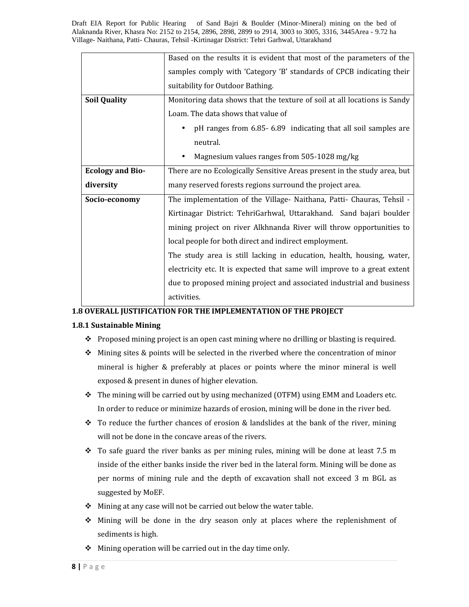|                                                                                                                                                                                                       | Based on the results it is evident that most of the parameters of the    |  |                                                                          |  |
|-------------------------------------------------------------------------------------------------------------------------------------------------------------------------------------------------------|--------------------------------------------------------------------------|--|--------------------------------------------------------------------------|--|
|                                                                                                                                                                                                       | samples comply with 'Category 'B' standards of CPCB indicating their     |  |                                                                          |  |
|                                                                                                                                                                                                       | suitability for Outdoor Bathing.                                         |  |                                                                          |  |
| <b>Soil Quality</b>                                                                                                                                                                                   | Monitoring data shows that the texture of soil at all locations is Sandy |  |                                                                          |  |
|                                                                                                                                                                                                       | Loam. The data shows that value of                                       |  |                                                                          |  |
| pH ranges from 6.85-6.89 indicating that all soil samples are<br>$\bullet$                                                                                                                            |                                                                          |  |                                                                          |  |
|                                                                                                                                                                                                       | neutral.                                                                 |  |                                                                          |  |
|                                                                                                                                                                                                       | Magnesium values ranges from 505-1028 mg/kg                              |  |                                                                          |  |
| <b>Ecology and Bio-</b>                                                                                                                                                                               | There are no Ecologically Sensitive Areas present in the study area, but |  |                                                                          |  |
| diversity                                                                                                                                                                                             | many reserved forests regions surround the project area.                 |  |                                                                          |  |
| Socio-economy                                                                                                                                                                                         | The implementation of the Village- Naithana, Patti- Chauras, Tehsil -    |  |                                                                          |  |
|                                                                                                                                                                                                       | Kirtinagar District: TehriGarhwal, Uttarakhand. Sand bajari boulder      |  |                                                                          |  |
| mining project on river Alkhnanda River will throw opportunities to<br>local people for both direct and indirect employment.<br>The study area is still lacking in education, health, housing, water, |                                                                          |  |                                                                          |  |
|                                                                                                                                                                                                       |                                                                          |  | electricity etc. It is expected that same will improve to a great extent |  |
|                                                                                                                                                                                                       |                                                                          |  | due to proposed mining project and associated industrial and business    |  |
|                                                                                                                                                                                                       | activities.                                                              |  |                                                                          |  |

#### **1.8 OVERALL JUSTIFICATION FOR THE IMPLEMENTATION OF THE PROJECT**

#### **1.8.1 Sustainable Mining**

- $\bullet$  Proposed mining project is an open cast mining where no drilling or blasting is required.
- $\triangle$  Mining sites & points will be selected in the riverbed where the concentration of minor mineral is higher & preferably at places or points where the minor mineral is well exposed & present in dunes of higher elevation.
- $\div$  The mining will be carried out by using mechanized (OTFM) using EMM and Loaders etc. In order to reduce or minimize hazards of erosion, mining will be done in the river bed.
- $\cdot \cdot$  To reduce the further chances of erosion & landslides at the bank of the river, mining will not be done in the concave areas of the rivers.
- $\div$  To safe guard the river banks as per mining rules, mining will be done at least 7.5 m inside of the either banks inside the river bed in the lateral form. Mining will be done as per norms of mining rule and the depth of excavation shall not exceed 3 m BGL as suggested by MoEF.
- $\div$  Mining at any case will not be carried out below the water table.
- **\*** Mining will be done<br>sediments is high.<br>★ Mining operation will<br>8 | P a g e  $\div$  Mining will be done in the dry season only at places where the replenishment of sediments is high.
	- $\triangleleft$  Mining operation will be carried out in the day time only.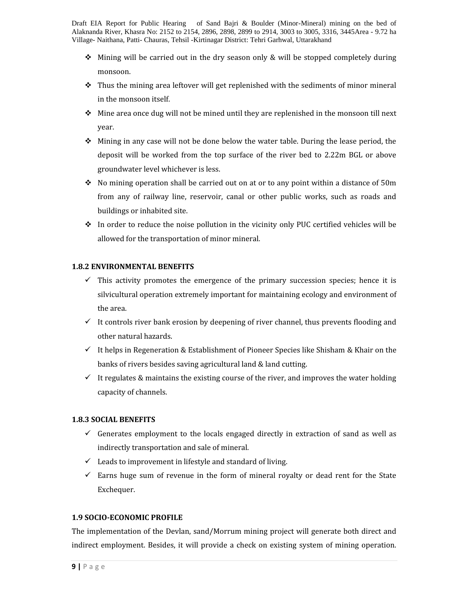- $\triangle$  Mining will be carried out in the dry season only & will be stopped completely during monsoon.
- $\div$  Thus the mining area leftover will get replenished with the sediments of minor mineral in the monsoon itself.
- $\triangle$  Mine area once dug will not be mined until they are replenished in the monsoon till next year.
- $\div$  Mining in any case will not be done below the water table. During the lease period, the deposit will be worked from the top surface of the river bed to 2.22m BGL or above groundwater level whichever is less.
- $\div$  No mining operation shall be carried out on at or to any point within a distance of 50m from any of railway line, reservoir, canal or other public works, such as roads and buildings or inhabited site.
- $\div$  In order to reduce the noise pollution in the vicinity only PUC certified vehicles will be allowed for the transportation of minor mineral.

#### **1.8.2 ENVIRONMENTAL BENEFITS**

- $\checkmark$  This activity promotes the emergence of the primary succession species; hence it is silvicultural operation extremely important for maintaining ecology and environment of the area.
- $\checkmark$  It controls river bank erosion by deepening of river channel, thus prevents flooding and other natural hazards.
- $\checkmark$  It helps in Regeneration & Establishment of Pioneer Species like Shisham & Khair on the banks of rivers besides saving agricultural land & land cutting.
- $\checkmark$  It regulates & maintains the existing course of the river, and improves the water holding capacity of channels.

#### **1.8.3 SOCIAL BENEFITS**

- $\checkmark$  Generates employment to the locals engaged directly in extraction of sand as well as indirectly transportation and sale of mineral.
- $\checkmark$  Leads to improvement in lifestyle and standard of living.
- $\checkmark$  Earns huge sum of revenue in the form of mineral royalty or dead rent for the State Exchequer.

#### **1.9 SOCIO-ECONOMIC PROFILE**

**1.9 SOCIO-ECONOMIC PROF**<br>The implementation of the D<br>indirect employment. Beside:<br>**9** | P a g e The implementation of the Devlan, sand/Morrum mining project will generate both direct and indirect employment. Besides, it will provide a check on existing system of mining operation.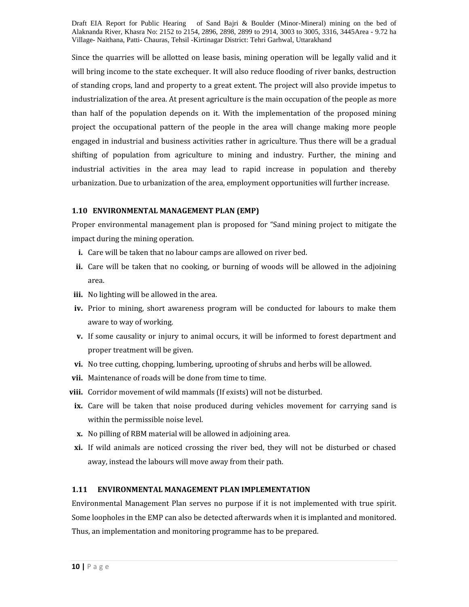Since the quarries will be allotted on lease basis, mining operation will be legally valid and it will bring income to the state exchequer. It will also reduce flooding of river banks, destruction of standing crops, land and property to a great extent. The project will also provide impetus to industrialization of the area. At present agriculture is the main occupation of the people as more than half of the population depends on it. With the implementation of the proposed mining project the occupational pattern of the people in the area will change making more people engaged in industrial and business activities rather in agriculture. Thus there will be a gradual shifting of population from agriculture to mining and industry. Further, the mining and industrial activities in the area may lead to rapid increase in population and thereby urbanization. Due to urbanization of the area, employment opportunities will further increase.

#### **1.10 ENVIRONMENTAL MANAGEMENT PLAN (EMP)**

Proper environmental management plan is proposed for "Sand mining project to mitigate the impact during the mining operation.

- **i.** Care will be taken that no labour camps are allowed on river bed.
- **ii.** Care will be taken that no cooking, or burning of woods will be allowed in the adjoining area.
- **iii.** No lighting will be allowed in the area.
- **iv.** Prior to mining, short awareness program will be conducted for labours to make them aware to way of working.
- **v.** If some causality or injury to animal occurs, it will be informed to forest department and proper treatment will be given.
- **vi.** No tree cutting, chopping, lumbering, uprooting of shrubs and herbs will be allowed.
- **vii.** Maintenance of roads will be done from time to time.
- **viii.** Corridor movement of wild mammals (If exists) will not be disturbed.
- **ix.** Care will be taken that noise produced during vehicles movement for carrying sand is within the permissible noise level.
- **x.** No pilling of RBM material will be allowed in adjoining area.
- **xi.** If wild animals are noticed crossing the river bed, they will not be disturbed or chased away, instead the labours will move away from their path.

#### **1.11 ENVIRONMENTAL MANAGEMENT PLAN IMPLEMENTATION**

**100 Some loopholes in the EMP can**<br>**10 |** P a g e Environmental Management Plan serves no purpose if it is not implemented with true spirit. Some loopholes in the EMP can also be detected afterwards when it is implanted and monitored. Thus, an implementation and monitoring programme has to be prepared.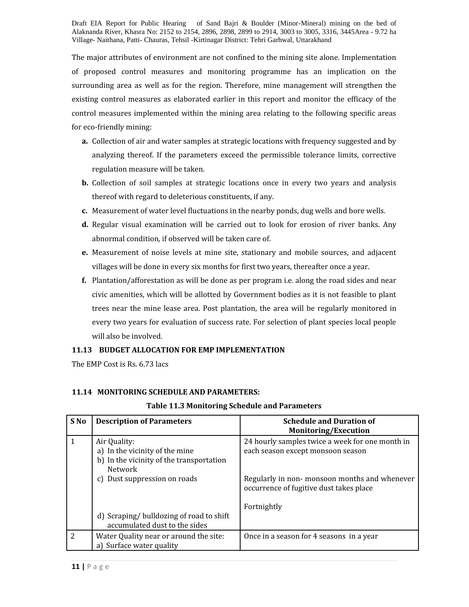The major attributes of environment are not confined to the mining site alone. Implementation of proposed control measures and monitoring programme has an implication on the surrounding area as well as for the region. Therefore, mine management will strengthen the existing control measures as elaborated earlier in this report and monitor the efficacy of the control measures implemented within the mining area relating to the following specific areas for eco-friendly mining:

- **a.** Collection of air and water samples at strategic locations with frequency suggested and by analyzing thereof. If the parameters exceed the permissible tolerance limits, corrective regulation measure will be taken.
- **b.** Collection of soil samples at strategic locations once in every two years and analysis thereof with regard to deleterious constituents, if any.
- **c.** Measurement of water level fluctuations in the nearby ponds, dug wells and bore wells.
- **d.** Regular visual examination will be carried out to look for erosion of river banks. Any abnormal condition, if observed will be taken care of.
- **e.** Measurement of noise levels at mine site, stationary and mobile sources, and adjacent villages will be done in every six months for first two years, thereafter once a year.
- **f.** Plantation/afforestation as will be done as per program i.e. along the road sides and near civic amenities, which will be allotted by Government bodies as it is not feasible to plant trees near the mine lease area. Post plantation, the area will be regularly monitored in every two years for evaluation of success rate. For selection of plant species local people will also be involved.

#### **11.13 BUDGET ALLOCATION FOR EMP IMPLEMENTATION**

The EMP Cost is Rs. 6.73 lacs

#### **11.14 MONITORING SCHEDULE AND PARAMETERS:**

| S <sub>No</sub> | <b>Description of Parameters</b>                                                                      | <b>Schedule and Duration of</b><br>Monitoring/Execution                                 |
|-----------------|-------------------------------------------------------------------------------------------------------|-----------------------------------------------------------------------------------------|
| 1               | Air Quality:<br>a) In the vicinity of the mine<br>b) In the vicinity of the transportation<br>Network | 24 hourly samples twice a week for one month in<br>each season except monsoon season    |
|                 | c) Dust suppression on roads                                                                          | Regularly in non-monsoon months and whenever<br>occurrence of fugitive dust takes place |
|                 | d) Scraping/bulldozing of road to shift<br>accumulated dust to the sides                              | Fortnightly                                                                             |
| 2               | Water Quality near or around the site:<br>a) Surface water quality                                    | Once in a season for 4 seasons in a year                                                |
| $11$   Page     |                                                                                                       |                                                                                         |

#### **Table 11.3 Monitoring Schedule and Parameters**